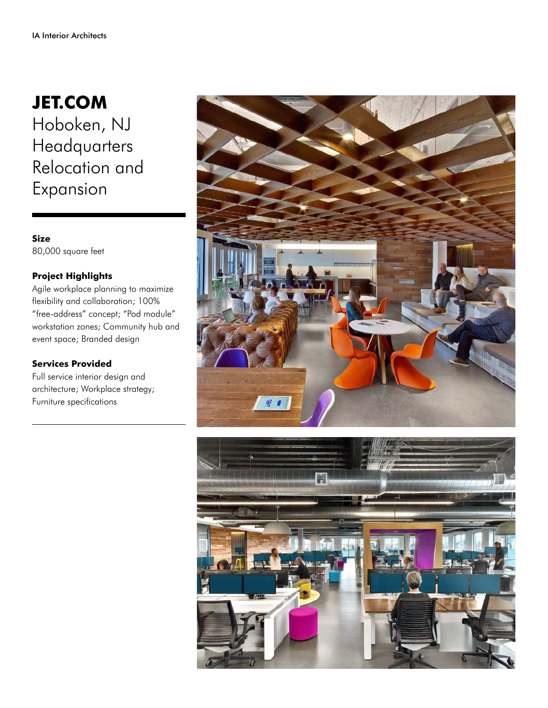## **JET.COM** Hoboken, NJ

Headquarters Relocation and Expansion

## **Size** 80,000 square feet

## **Project Highlights**

Agile workplace planning to maximize flexibility and collaboration; 100% "free-address" concept; "Pod module" workstation zones; Community hub and event space; Branded design

## **Services Provided**

Full service interior design and architecture; Workplace strategy; Furniture specifications